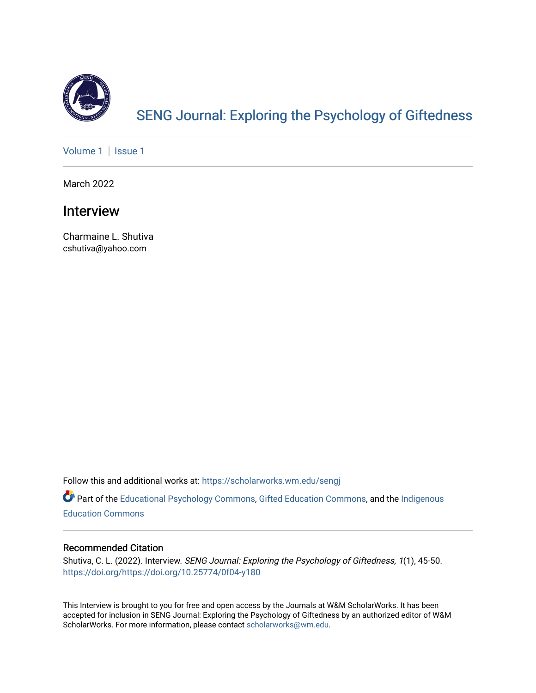

# [SENG Journal: Exploring the Psychology of Giftedness](https://scholarworks.wm.edu/sengj)

[Volume 1](https://scholarworks.wm.edu/sengj/vol1) | Issue 1

March 2022

## Interview

Charmaine L. Shutiva cshutiva@yahoo.com

Follow this and additional works at: [https://scholarworks.wm.edu/sengj](https://scholarworks.wm.edu/sengj?utm_source=scholarworks.wm.edu%2Fsengj%2Fvol1%2Fiss1%2F7&utm_medium=PDF&utm_campaign=PDFCoverPages)

Part of the [Educational Psychology Commons,](http://network.bepress.com/hgg/discipline/798?utm_source=scholarworks.wm.edu%2Fsengj%2Fvol1%2Fiss1%2F7&utm_medium=PDF&utm_campaign=PDFCoverPages) [Gifted Education Commons](http://network.bepress.com/hgg/discipline/1048?utm_source=scholarworks.wm.edu%2Fsengj%2Fvol1%2Fiss1%2F7&utm_medium=PDF&utm_campaign=PDFCoverPages), and the [Indigenous](http://network.bepress.com/hgg/discipline/1379?utm_source=scholarworks.wm.edu%2Fsengj%2Fvol1%2Fiss1%2F7&utm_medium=PDF&utm_campaign=PDFCoverPages) [Education Commons](http://network.bepress.com/hgg/discipline/1379?utm_source=scholarworks.wm.edu%2Fsengj%2Fvol1%2Fiss1%2F7&utm_medium=PDF&utm_campaign=PDFCoverPages) 

#### Recommended Citation

Shutiva, C. L. (2022). Interview. SENG Journal: Exploring the Psychology of Giftedness, 1(1), 45-50. <https://doi.org/https://doi.org/10.25774/0f04-y180>

This Interview is brought to you for free and open access by the Journals at W&M ScholarWorks. It has been accepted for inclusion in SENG Journal: Exploring the Psychology of Giftedness by an authorized editor of W&M ScholarWorks. For more information, please contact [scholarworks@wm.edu.](mailto:scholarworks@wm.edu)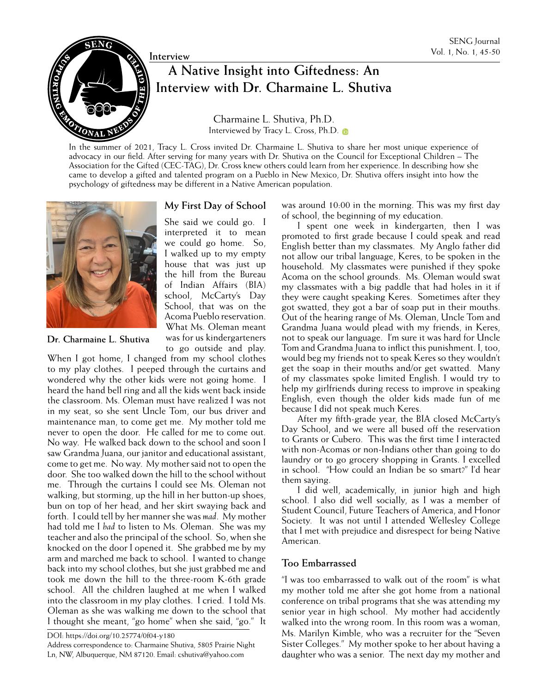

# **P**  $\bigotimes$  Interview **A** Native Insight into Giftedness: An **IPP 1999 Interview Vol. 1, No. 1, 45-50 Interview with Dr. Charmaine L. Shutiva**

Charmaine L. Shutiva, Ph.D. Interviewed by [Tracy L. Cross, Ph.D.](https://orcid.org/0000-0001-5026-0626)

In the summer of 2021, Tracy L. Cross invited Dr. Charmaine L. Shutiva to share her most unique experience of advocacy in our field. After serving for many years with Dr. Shutiva on the Council for Exceptional Children – The Association for the Gifted (CEC-TAG), Dr. Cross knew others could learn from her experience. In describing how she came to develop a gifted and talented program on a Pueblo in New Mexico, Dr. Shutiva offers insight into how the psychology of giftedness may be different in a Native American population.



**Dr. Charmaine L. Shutiva**

#### **My First Day of School**

She said we could go. I interpreted it to mean we could go home. So, I walked up to my empty house that was just up the hill from the Bureau of Indian Affairs (BIA) school, McCarty's Day School, that was on the Acoma Pueblo reservation. What Ms. Oleman meant was for us kindergarteners to go outside and play.

When I got home, I changed from my school clothes to my play clothes. I peeped through the curtains and wondered why the other kids were not going home. I heard the hand bell ring and all the kids went back inside the classroom. Ms. Oleman must have realized I was not in my seat, so she sent Uncle Tom, our bus driver and maintenance man, to come get me. My mother told me never to open the door. He called for me to come out. No way. He walked back down to the school and soon I saw Grandma Juana, our janitor and educational assistant, come to get me. No way. My mother said not to open the door. She too walked down the hill to the school without me. Through the curtains I could see Ms. Oleman not walking, but storming, up the hill in her button-up shoes, bun on top of her head, and her skirt swaying back and forth. I could tell by her manner she was *mad*. My mother had told me I *had* to listen to Ms. Oleman. She was my teacher and also the principal of the school. So, when she knocked on the door I opened it. She grabbed me by my arm and marched me back to school. I wanted to change back into my school clothes, but she just grabbed me and took me down the hill to the three-room K-6th grade school. All the children laughed at me when I walked into the classroom in my play clothes. I cried. I told Ms. Oleman as she was walking me down to the school that I thought she meant, "go home" when she said, "go." It

DOI: https://doi.org/10.25774/0f04-y180

Address correspondence to: Charmaine Shutiva, 5805 Prairie Night Ln, NW, Albuquerque, NM 87120. Email: cshutiva@yahoo.com

was around 10:00 in the morning. This was my first day of school, the beginning of my education.

I spent one week in kindergarten, then I was promoted to first grade because I could speak and read English better than my classmates. My Anglo father did not allow our tribal language, Keres, to be spoken in the household. My classmates were punished if they spoke Acoma on the school grounds. Ms. Oleman would swat my classmates with a big paddle that had holes in it if they were caught speaking Keres. Sometimes after they got swatted, they got a bar of soap put in their mouths. Out of the hearing range of Ms. Oleman, Uncle Tom and Grandma Juana would plead with my friends, in Keres, not to speak our language. I'm sure it was hard for Uncle Tom and Grandma Juana to inflict this punishment. I, too, would beg my friends not to speak Keres so they wouldn't get the soap in their mouths and/or get swatted. Many of my classmates spoke limited English. I would try to help my girlfriends during recess to improve in speaking English, even though the older kids made fun of me because I did not speak much Keres.

After my fifth-grade year, the BIA closed McCarty's Day School, and we were all bused off the reservation to Grants or Cubero. This was the first time I interacted with non-Acomas or non-Indians other than going to do laundry or to go grocery shopping in Grants. I excelled in school. "How could an Indian be so smart?" I'd hear them saying.

I did well, academically, in junior high and high school. I also did well socially, as I was a member of Student Council, Future Teachers of America, and Honor Society. It was not until I attended Wellesley College that I met with prejudice and disrespect for being Native American.

### **Too Embarrassed**

"I was too embarrassed to walk out of the room" is what my mother told me after she got home from a national conference on tribal programs that she was attending my senior year in high school. My mother had accidently walked into the wrong room. In this room was a woman, Ms. Marilyn Kimble, who was a recruiter for the "Seven Sister Colleges." My mother spoke to her about having a daughter who was a senior. The next day my mother and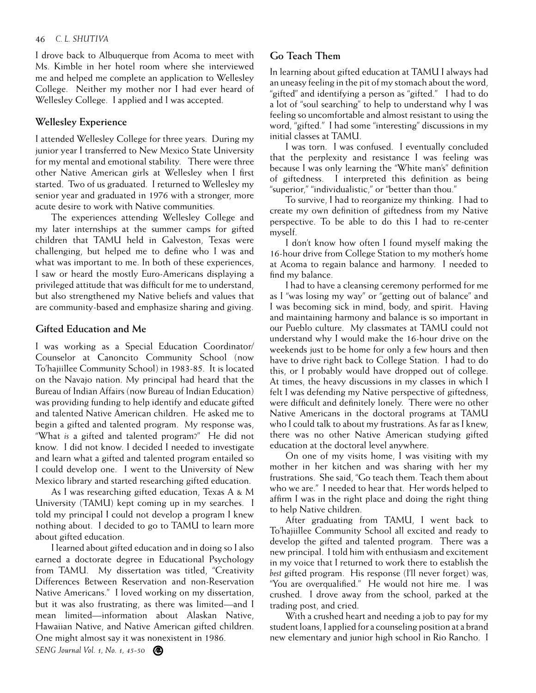I drove back to Albuquerque from Acoma to meet with Ms. Kimble in her hotel room where she interviewed me and helped me complete an application to Wellesley College. Neither my mother nor I had ever heard of Wellesley College. I applied and I was accepted.

#### **Wellesley Experience**

I attended Wellesley College for three years. During my junior year I transferred to New Mexico State University for my mental and emotional stability. There were three other Native American girls at Wellesley when I first started. Two of us graduated. I returned to Wellesley my senior year and graduated in 1976 with a stronger, more acute desire to work with Native communities.

The experiences attending Wellesley College and my later internships at the summer camps for gifted children that TAMU held in Galveston, Texas were challenging, but helped me to define who I was and what was important to me. In both of these experiences, I saw or heard the mostly Euro-Americans displaying a privileged attitude that was difficult for me to understand, but also strengthened my Native beliefs and values that are community-based and emphasize sharing and giving.

### **Gifted Education and Me**

I was working as a Special Education Coordinator/ Counselor at Canoncito Community School (now To'hajiillee Community School) in 1983-85. It is located on the Navajo nation. My principal had heard that the Bureau of Indian Affairs (now Bureau of Indian Education) was providing funding to help identify and educate gifted and talented Native American children. He asked me to begin a gifted and talented program. My response was, "What *is* a gifted and talented program?" He did not know. I did not know. I decided I needed to investigate and learn what a gifted and talented program entailed so I could develop one. I went to the University of New Mexico library and started researching gifted education.

As I was researching gifted education, Texas A & M University (TAMU) kept coming up in my searches. I told my principal I could not develop a program I knew nothing about. I decided to go to TAMU to learn more about gifted education.

I learned about gifted education and in doing so I also earned a doctorate degree in Educational Psychology from TAMU. My dissertation was titled, "Creativity Differences Between Reservation and non-Reservation Native Americans." I loved working on my dissertation, but it was also frustrating, as there was limited—and I mean limited—information about Alaskan Native, Hawaiian Native, and Native American gifted children. One might almost say it was nonexistent in 1986.

## **Go Teach Them**

In learning about gifted education at TAMU I always had an uneasy feeling in the pit of my stomach about the word, "gifted" and identifying a person as "gifted." I had to do a lot of "soul searching" to help to understand why I was feeling so uncomfortable and almost resistant to using the word, "gifted." I had some "interesting" discussions in my initial classes at TAMU.

I was torn. I was confused. I eventually concluded that the perplexity and resistance I was feeling was because I was only learning the "White man's" definition of giftedness. I interpreted this definition as being "superior," "individualistic," or "better than thou."

To survive, I had to reorganize my thinking. I had to create my own definition of giftedness from my Native perspective. To be able to do this I had to re-center myself.

I don't know how often I found myself making the 16-hour drive from College Station to my mother's home at Acoma to regain balance and harmony. I needed to find my balance.

I had to have a cleansing ceremony performed for me as I "was losing my way" or "getting out of balance" and I was becoming sick in mind, body, and spirit. Having and maintaining harmony and balance is so important in our Pueblo culture. My classmates at TAMU could not understand why I would make the 16-hour drive on the weekends just to be home for only a few hours and then have to drive right back to College Station. I had to do this, or I probably would have dropped out of college. At times, the heavy discussions in my classes in which I felt I was defending my Native perspective of giftedness, were difficult and definitely lonely. There were no other Native Americans in the doctoral programs at TAMU who I could talk to about my frustrations. As far as I knew, there was no other Native American studying gifted education at the doctoral level anywhere.

On one of my visits home, I was visiting with my mother in her kitchen and was sharing with her my frustrations. She said, "Go teach them. Teach them about who we are." I needed to hear that. Her words helped to affirm I was in the right place and doing the right thing to help Native children.

After graduating from TAMU, I went back to To'hajiillee Community School all excited and ready to develop the gifted and talented program. There was a new principal. I told him with enthusiasm and excitement in my voice that I returned to work there to establish the *best* gifted program. His response (I'll never forget) was, "You are overqualified." He would not hire me. I was crushed. I drove away from the school, parked at the trading post, and cried.

With a crushed heart and needing a job to pay for my student loans, I applied for a counseling position at a brand new elementary and junior high school in Rio Rancho. I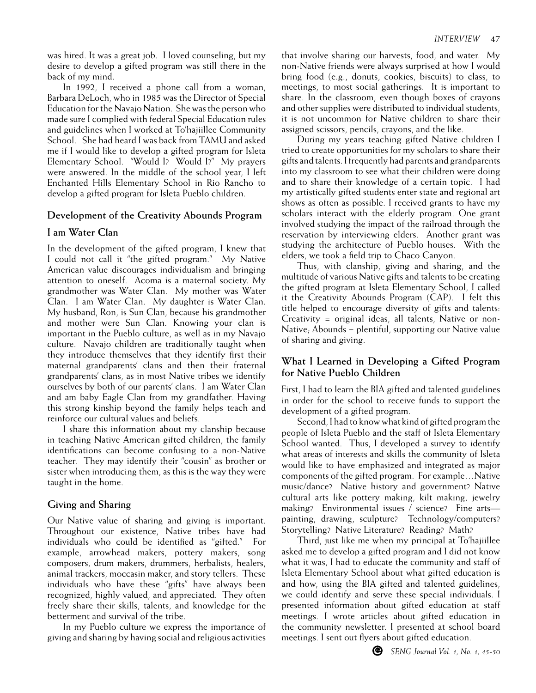was hired. It was a great job. I loved counseling, but my desire to develop a gifted program was still there in the back of my mind.

In 1992, I received a phone call from a woman, Barbara DeLoch, who in 1985 was the Director of Special Education for the Navajo Nation. She was the person who made sure I complied with federal Special Education rules and guidelines when I worked at To'hajiillee Community School. She had heard I was back from TAMU and asked me if I would like to develop a gifted program for Isleta Elementary School. "Would I? Would I?" My prayers were answered. In the middle of the school year, I left Enchanted Hills Elementary School in Rio Rancho to develop a gifted program for Isleta Pueblo children.

#### **Development of the Creativity Abounds Program**

#### **I am Water Clan**

In the development of the gifted program, I knew that I could not call it "the gifted program." My Native American value discourages individualism and bringing attention to oneself. Acoma is a maternal society. My grandmother was Water Clan. My mother was Water Clan. I am Water Clan. My daughter is Water Clan. My husband, Ron, is Sun Clan, because his grandmother and mother were Sun Clan. Knowing your clan is important in the Pueblo culture, as well as in my Navajo culture. Navajo children are traditionally taught when they introduce themselves that they identify first their maternal grandparents' clans and then their fraternal grandparents' clans, as in most Native tribes we identify ourselves by both of our parents' clans. I am Water Clan and am baby Eagle Clan from my grandfather. Having this strong kinship beyond the family helps teach and reinforce our cultural values and beliefs.

I share this information about my clanship because in teaching Native American gifted children, the family identifications can become confusing to a non-Native teacher. They may identify their "cousin" as brother or sister when introducing them, as this is the way they were taught in the home.

### **Giving and Sharing**

Our Native value of sharing and giving is important. Throughout our existence, Native tribes have had individuals who could be identified as "gifted." For example, arrowhead makers, pottery makers, song composers, drum makers, drummers, herbalists, healers, animal trackers, moccasin maker, and story tellers. These individuals who have these "gifts" have always been recognized, highly valued, and appreciated. They often freely share their skills, talents, and knowledge for the betterment and survival of the tribe.

In my Pueblo culture we express the importance of giving and sharing by having social and religious activities

that involve sharing our harvests, food, and water. My non-Native friends were always surprised at how I would bring food (e.g., donuts, cookies, biscuits) to class, to meetings, to most social gatherings. It is important to share. In the classroom, even though boxes of crayons and other supplies were distributed to individual students, it is not uncommon for Native children to share their assigned scissors, pencils, crayons, and the like.

During my years teaching gifted Native children I tried to create opportunities for my scholars to share their gifts and talents. I frequently had parents and grandparents into my classroom to see what their children were doing and to share their knowledge of a certain topic. I had my artistically gifted students enter state and regional art shows as often as possible. I received grants to have my scholars interact with the elderly program. One grant involved studying the impact of the railroad through the reservation by interviewing elders. Another grant was studying the architecture of Pueblo houses. With the elders, we took a field trip to Chaco Canyon.

Thus, with clanship, giving and sharing, and the multitude of various Native gifts and talents to be creating the gifted program at Isleta Elementary School, I called it the Creativity Abounds Program (CAP). I felt this title helped to encourage diversity of gifts and talents: Creativity = original ideas, all talents, Native or non-Native; Abounds = plentiful, supporting our Native value of sharing and giving.

### **What I Learned in Developing a Gifted Program for Native Pueblo Children**

First, I had to learn the BIA gifted and talented guidelines in order for the school to receive funds to support the development of a gifted program.

Second, I had to know what kind of gifted program the people of Isleta Pueblo and the staff of Isleta Elementary School wanted. Thus, I developed a survey to identify what areas of interests and skills the community of Isleta would like to have emphasized and integrated as major components of the gifted program. For example…Native music/dance? Native history and government? Native cultural arts like pottery making, kilt making, jewelry making? Environmental issues / science? Fine arts painting, drawing, sculpture? Technology/computers? Storytelling? Native Literature? Reading? Math?

Third, just like me when my principal at To'hajiillee asked me to develop a gifted program and I did not know what it was, I had to educate the community and staff of Isleta Elementary School about what gifted education is and how, using the BIA gifted and talented guidelines, we could identify and serve these special individuals. I presented information about gifted education at staff meetings. I wrote articles about gifted education in the community newsletter. I presented at school board meetings. I sent out flyers about gifted education.

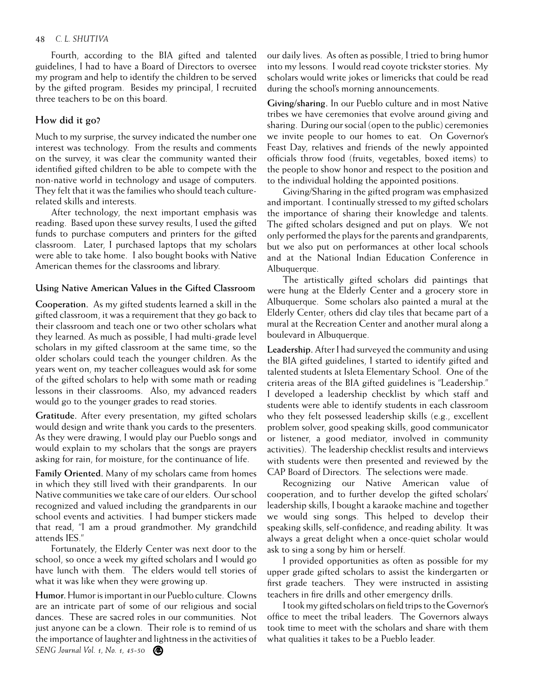#### 48 *C. L. SHUTIVA*

Fourth, according to the BIA gifted and talented guidelines, I had to have a Board of Directors to oversee my program and help to identify the children to be served by the gifted program. Besides my principal, I recruited three teachers to be on this board.

#### **How did it go?**

Much to my surprise, the survey indicated the number one interest was technology. From the results and comments on the survey, it was clear the community wanted their identified gifted children to be able to compete with the non-native world in technology and usage of computers. They felt that it was the families who should teach culturerelated skills and interests.

After technology, the next important emphasis was reading. Based upon these survey results, I used the gifted funds to purchase computers and printers for the gifted classroom. Later, I purchased laptops that my scholars were able to take home. I also bought books with Native American themes for the classrooms and library.

#### **Using Native American Values in the Gifted Classroom**

**Cooperation.** As my gifted students learned a skill in the gifted classroom, it was a requirement that they go back to their classroom and teach one or two other scholars what they learned. As much as possible, I had multi-grade level scholars in my gifted classroom at the same time, so the older scholars could teach the younger children. As the years went on, my teacher colleagues would ask for some of the gifted scholars to help with some math or reading lessons in their classrooms. Also, my advanced readers would go to the younger grades to read stories.

**Gratitude.** After every presentation, my gifted scholars would design and write thank you cards to the presenters. As they were drawing, I would play our Pueblo songs and would explain to my scholars that the songs are prayers asking for rain, for moisture, for the continuance of life.

**Family Oriented.** Many of my scholars came from homes in which they still lived with their grandparents. In our Native communities we take care of our elders. Our school recognized and valued including the grandparents in our school events and activities. I had bumper stickers made that read, "I am a proud grandmother. My grandchild attends IES."

Fortunately, the Elderly Center was next door to the school, so once a week my gifted scholars and I would go have lunch with them. The elders would tell stories of what it was like when they were growing up.

*SENG Journal Vol. 1, No. 1, 45-50* **Humor.** Humor is important in our Pueblo culture. Clowns are an intricate part of some of our religious and social dances. These are sacred roles in our communities. Not just anyone can be a clown. Their role is to remind of us the importance of laughter and lightness in the activities of our daily lives. As often as possible, I tried to bring humor into my lessons. I would read coyote trickster stories. My scholars would write jokes or limericks that could be read during the school's morning announcements.

**Giving/sharing.** In our Pueblo culture and in most Native tribes we have ceremonies that evolve around giving and sharing. During our social (open to the public) ceremonies we invite people to our homes to eat. On Governor's Feast Day, relatives and friends of the newly appointed officials throw food (fruits, vegetables, boxed items) to the people to show honor and respect to the position and to the individual holding the appointed positions.

Giving/Sharing in the gifted program was emphasized and important. I continually stressed to my gifted scholars the importance of sharing their knowledge and talents. The gifted scholars designed and put on plays. We not only performed the plays for the parents and grandparents, but we also put on performances at other local schools and at the National Indian Education Conference in Albuquerque.

The artistically gifted scholars did paintings that were hung at the Elderly Center and a grocery store in Albuquerque. Some scholars also painted a mural at the Elderly Center; others did clay tiles that became part of a mural at the Recreation Center and another mural along a boulevard in Albuquerque.

**Leadership.** After I had surveyed the community and using the BIA gifted guidelines, I started to identify gifted and talented students at Isleta Elementary School. One of the criteria areas of the BIA gifted guidelines is "Leadership." I developed a leadership checklist by which staff and students were able to identify students in each classroom who they felt possessed leadership skills (e.g., excellent problem solver, good speaking skills, good communicator or listener, a good mediator, involved in community activities). The leadership checklist results and interviews with students were then presented and reviewed by the CAP Board of Directors. The selections were made.

Recognizing our Native American value of cooperation, and to further develop the gifted scholars' leadership skills, I bought a karaoke machine and together we would sing songs. This helped to develop their speaking skills, self-confidence, and reading ability. It was always a great delight when a once-quiet scholar would ask to sing a song by him or herself.

I provided opportunities as often as possible for my upper grade gifted scholars to assist the kindergarten or first grade teachers. They were instructed in assisting teachers in fire drills and other emergency drills.

I took my gifted scholars on field trips to the Governor's office to meet the tribal leaders. The Governors always took time to meet with the scholars and share with them what qualities it takes to be a Pueblo leader.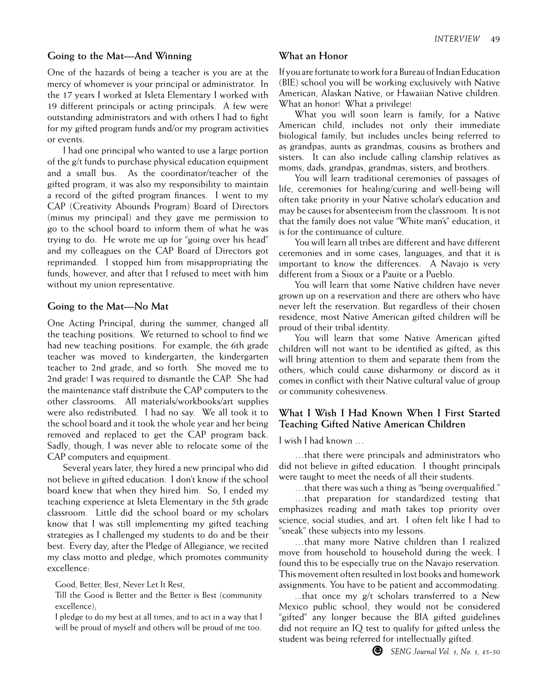#### **Going to the Mat—And Winning**

One of the hazards of being a teacher is you are at the mercy of whomever is your principal or administrator. In the 17 years I worked at Isleta Elementary I worked with 19 different principals or acting principals. A few were outstanding administrators and with others I had to fight for my gifted program funds and/or my program activities or events.

I had one principal who wanted to use a large portion of the g/t funds to purchase physical education equipment and a small bus. As the coordinator/teacher of the gifted program, it was also my responsibility to maintain a record of the gifted program finances. I went to my CAP (Creativity Abounds Program) Board of Directors (minus my principal) and they gave me permission to go to the school board to inform them of what he was trying to do. He wrote me up for "going over his head" and my colleagues on the CAP Board of Directors got reprimanded. I stopped him from misappropriating the funds, however, and after that I refused to meet with him without my union representative.

#### **Going to the Mat—No Mat**

One Acting Principal, during the summer, changed all the teaching positions. We returned to school to find we had new teaching positions. For example, the 6th grade teacher was moved to kindergarten, the kindergarten teacher to 2nd grade, and so forth. She moved me to 2nd grade! I was required to dismantle the CAP. She had the maintenance staff distribute the CAP computers to the other classrooms. All materials/workbooks/art supplies were also redistributed. I had no say. We all took it to the school board and it took the whole year and her being removed and replaced to get the CAP program back. Sadly, though, I was never able to relocate some of the CAP computers and equipment.

Several years later, they hired a new principal who did not believe in gifted education. I don't know if the school board knew that when they hired him. So, I ended my teaching experience at Isleta Elementary in the 5th grade classroom. Little did the school board or my scholars know that I was still implementing my gifted teaching strategies as I challenged my students to do and be their best. Every day, after the Pledge of Allegiance, we recited my class motto and pledge, which promotes community excellence:

Good, Better, Best, Never Let It Rest,

Till the Good is Better and the Better is Best (community excellence);

I pledge to do my best at all times, and to act in a way that I will be proud of myself and others will be proud of me too.

#### **What an Honor**

If you are fortunate to work for a Bureau of Indian Education (BIE) school you will be working exclusively with Native American, Alaskan Native, or Hawaiian Native children. What an honor! What a privilege!

What you will soon learn is family, for a Native American child, includes not only their immediate biological family, but includes uncles being referred to as grandpas, aunts as grandmas, cousins as brothers and sisters. It can also include calling clanship relatives as moms, dads, grandpas, grandmas, sisters, and brothers.

You will learn traditional ceremonies of passages of life, ceremonies for healing/curing and well-being will often take priority in your Native scholar's education and may be causes for absenteeism from the classroom. It is not that the family does not value "White man's" education, it is for the continuance of culture.

You will learn all tribes are different and have different ceremonies and in some cases, languages, and that it is important to know the differences. A Navajo is very different from a Sioux or a Pauite or a Pueblo.

You will learn that some Native children have never grown up on a reservation and there are others who have never left the reservation. But regardless of their chosen residence, most Native American gifted children will be proud of their tribal identity.

You will learn that some Native American gifted children will not want to be identified as gifted, as this will bring attention to them and separate them from the others, which could cause disharmony or discord as it comes in conflict with their Native cultural value of group or community cohesiveness.

### **What I Wish I Had Known When I First Started Teaching Gifted Native American Children**

I wish I had known …

…that there were principals and administrators who did not believe in gifted education. I thought principals were taught to meet the needs of all their students.

…that there was such a thing as "being overqualified."

…that preparation for standardized testing that emphasizes reading and math takes top priority over science, social studies, and art. I often felt like I had to "sneak" these subjects into my lessons.

…that many more Native children than I realized move from household to household during the week. I found this to be especially true on the Navajo reservation. This movement often resulted in lost books and homework assignments. You have to be patient and accommodating.

...that once my g/t scholars transferred to a New Mexico public school, they would not be considered "gifted" any longer because the BIA gifted guidelines did not require an IQ test to qualify for gifted unless the student was being referred for intellectually gifted.